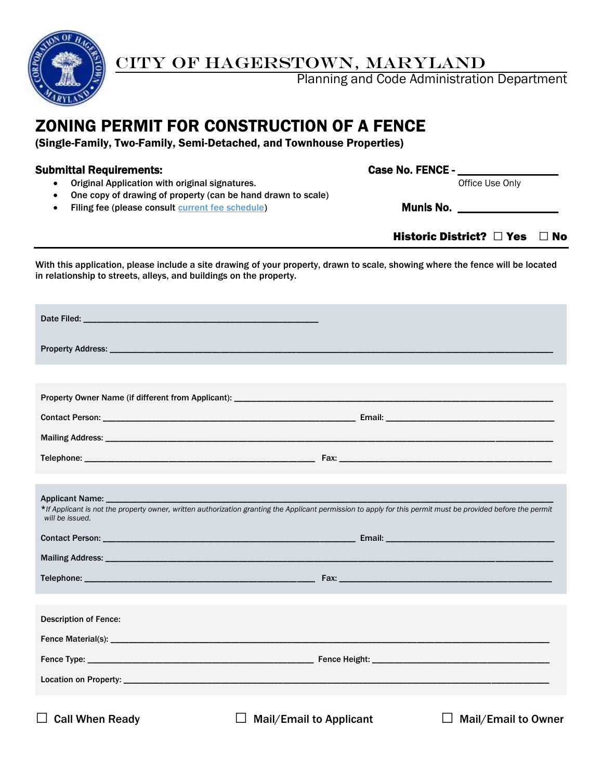

# CITY OF HAGERSTOWN, MARYLAND

Planning and Code Administration Department

## ZONING PERMIT FOR CONSTRUCTION OF A FENCE

(Single-Family, Two-Family, Semi-Detached, and Townhouse Properties)

### Submittal Requirements: example and the case No. FENCE - \_\_\_\_\_\_\_\_\_\_\_\_\_\_\_\_\_\_\_\_\_\_\_

• Original Application with original signatures. The matrix of the Use Only office Use Only

- One copy of drawing of property (can be hand drawn to scale)
- Filing fee (please consult [current fee schedule\)](http://www.hagerstownmd.org/DocumentCenter/Home/View/384) Munis No.

Historic District? □ Yes □ No

With this application, please include a site drawing of your property, drawn to scale, showing where the fence will be located in relationship to streets, alleys, and buildings on the property.

| Date Filed: We have a state of the state of the state of the state of the state of the state of the                                                                             |  |
|---------------------------------------------------------------------------------------------------------------------------------------------------------------------------------|--|
|                                                                                                                                                                                 |  |
|                                                                                                                                                                                 |  |
|                                                                                                                                                                                 |  |
|                                                                                                                                                                                 |  |
|                                                                                                                                                                                 |  |
|                                                                                                                                                                                 |  |
|                                                                                                                                                                                 |  |
| *If Applicant is not the property owner, written authorization granting the Applicant permission to apply for this permit must be provided before the permit<br>will be issued. |  |
|                                                                                                                                                                                 |  |
|                                                                                                                                                                                 |  |
|                                                                                                                                                                                 |  |
|                                                                                                                                                                                 |  |
| <b>Description of Fence:</b>                                                                                                                                                    |  |
|                                                                                                                                                                                 |  |
|                                                                                                                                                                                 |  |
|                                                                                                                                                                                 |  |
| $\Box$ Call When Ready<br><b>Mail/Email to Applicant</b><br><b>Mail/Email to Owner</b>                                                                                          |  |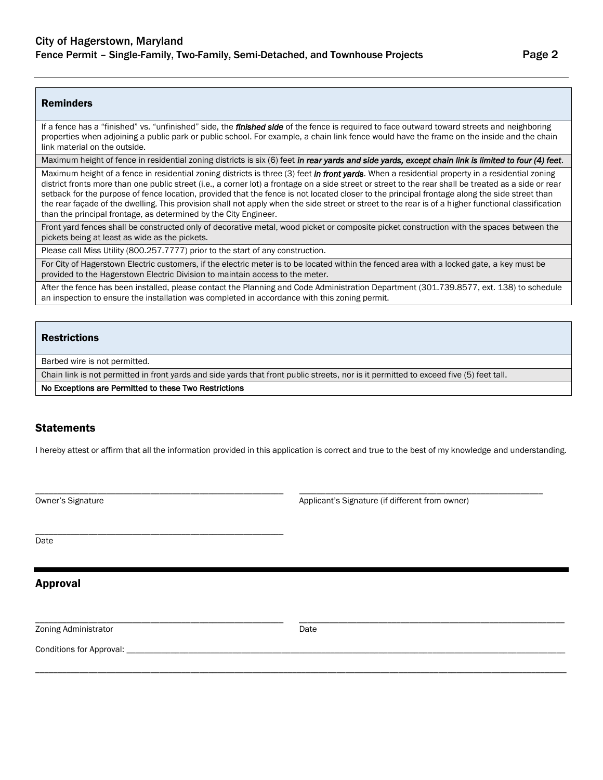#### Reminders

If a fence has a "finished" vs. "unfinished" side, the *finished side* of the fence is required to face outward toward streets and neighboring properties when adjoining a public park or public school. For example, a chain link fence would have the frame on the inside and the chain link material on the outside.

Maximum height of fence in residential zoning districts is six (6) feet *in rear yards and side yards, except chain link is limited to four (4) feet*.

Maximum height of a fence in residential zoning districts is three (3) feet *in front yards*. When a residential property in a residential zoning district fronts more than one public street (i.e., a corner lot) a frontage on a side street or street to the rear shall be treated as a side or rear setback for the purpose of fence location, provided that the fence is not located closer to the principal frontage along the side street than the rear façade of the dwelling. This provision shall not apply when the side street or street to the rear is of a higher functional classification than the principal frontage, as determined by the City Engineer.

Front yard fences shall be constructed only of decorative metal, wood picket or composite picket construction with the spaces between the pickets being at least as wide as the pickets.

Please call Miss Utility (800.257.7777) prior to the start of any construction.

For City of Hagerstown Electric customers, if the electric meter is to be located within the fenced area with a locked gate, a key must be provided to the Hagerstown Electric Division to maintain access to the meter.

After the fence has been installed, please contact the Planning and Code Administration Department (301.739.8577, ext. 138) to schedule an inspection to ensure the installation was completed in accordance with this zoning permit.

#### **Restrictions**

Barbed wire is not permitted.

Chain link is not permitted in front yards and side yards that front public streets, nor is it permitted to exceed five (5) feet tall.

No Exceptions are Permitted to these Two Restrictions

\_\_\_\_\_\_\_\_\_\_\_\_\_\_\_\_\_\_\_\_\_\_\_\_\_\_\_\_\_\_\_\_\_\_\_\_\_\_\_\_\_\_\_\_\_\_\_\_\_\_\_\_\_\_\_\_

#### **Statements**

I hereby attest or affirm that all the information provided in this application is correct and true to the best of my knowledge and understanding.

\_\_\_\_\_\_\_\_\_\_\_\_\_\_\_\_\_\_\_\_\_\_\_\_\_\_\_\_\_\_\_\_\_\_\_\_\_\_\_\_\_\_\_\_\_\_\_\_\_\_\_\_\_\_\_\_ \_\_\_\_\_\_\_\_\_\_\_\_\_\_\_\_\_\_\_\_\_\_\_\_\_\_\_\_\_\_\_\_\_\_\_\_\_\_\_\_\_\_\_\_\_\_\_\_\_\_\_\_\_\_\_

Owner's Signature Applicant's Signature (if different from owner) May be a state of the Applicant's Signature (if different from owner)

Date

Approval

Zoning Administrator Date Controller and Date Date

\_\_\_\_\_\_\_\_\_\_\_\_\_\_\_\_\_\_\_\_\_\_\_\_\_\_\_\_\_\_\_\_\_\_\_\_\_\_\_\_\_\_\_\_\_\_\_\_\_\_\_\_\_\_\_\_ \_\_\_\_\_\_\_\_\_\_\_\_\_\_\_\_\_\_\_\_\_\_\_\_\_\_\_\_\_\_\_\_\_\_\_\_\_\_\_\_\_\_\_\_\_\_\_\_\_\_\_\_\_\_\_\_\_\_\_\_

\_\_\_\_\_\_\_\_\_\_\_\_\_\_\_\_\_\_\_\_\_\_\_\_\_\_\_\_\_\_\_\_\_\_\_\_\_\_\_\_\_\_\_\_\_\_\_\_\_\_\_\_\_\_\_\_\_\_\_\_\_\_\_\_\_\_\_\_\_\_\_\_\_\_\_\_\_\_\_\_\_\_\_\_\_\_\_\_\_\_\_\_\_\_\_\_\_\_\_\_\_\_\_\_\_\_\_\_\_\_\_\_\_\_\_\_\_\_\_\_

Conditions for Approval: